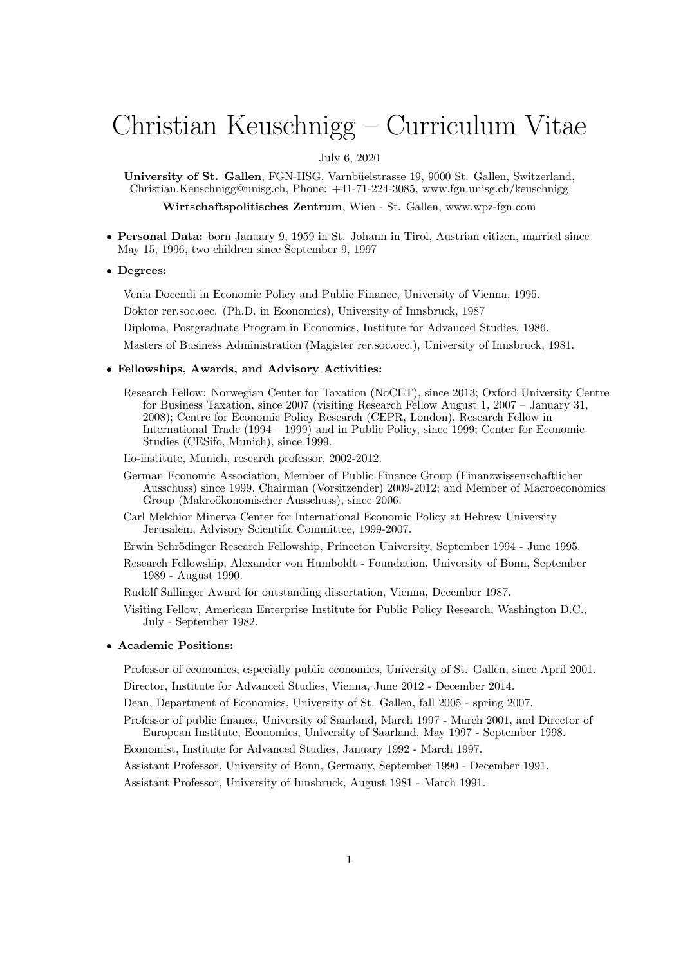# Christian Keuschnigg — Curriculum Vitae

### July 6, 2020

University of St. Gallen, FGN-HSG, Varnbüelstrasse 19, 9000 St. Gallen, Switzerland, Christian.Keuschnigg@unisg.ch, Phone: +41-71-224-3085, www.fgn.unisg.ch/keuschnigg

Wirtschaftspolitisches Zentrum, Wien - St. Gallen, www.wpz-fgn.com

• Personal Data: born January 9, 1959 in St. Johann in Tirol, Austrian citizen, married since May 15, 1996, two children since September 9, 1997

#### • Degrees:

Venia Docendi in Economic Policy and Public Finance, University of Vienna, 1995.

Doktor rer.soc.oec. (Ph.D. in Economics), University of Innsbruck, 1987

Diploma, Postgraduate Program in Economics, Institute for Advanced Studies, 1986.

Masters of Business Administration (Magister rer.soc.oec.), University of Innsbruck, 1981.

#### • Fellowships, Awards, and Advisory Activities:

- Research Fellow: Norwegian Center for Taxation (NoCET), since 2013; Oxford University Centre for Business Taxation, since 2007 (visiting Research Fellow August 1, 2007 — January 31, 2008); Centre for Economic Policy Research (CEPR, London), Research Fellow in International Trade (1994 — 1999) and in Public Policy, since 1999; Center for Economic Studies (CESifo, Munich), since 1999.
- Ifo-institute, Munich, research professor, 2002-2012.
- German Economic Association, Member of Public Finance Group (Finanzwissenschaftlicher Ausschuss) since 1999, Chairman (Vorsitzender) 2009-2012; and Member of Macroeconomics Group (Makroökonomischer Ausschuss), since 2006.
- Carl Melchior Minerva Center for International Economic Policy at Hebrew University Jerusalem, Advisory Scientific Committee, 1999-2007.
- Erwin Schrödinger Research Fellowship, Princeton University, September 1994 June 1995.
- Research Fellowship, Alexander von Humboldt Foundation, University of Bonn, September 1989 - August 1990.
- Rudolf Sallinger Award for outstanding dissertation, Vienna, December 1987.
- Visiting Fellow, American Enterprise Institute for Public Policy Research, Washington D.C., July - September 1982.

#### • Academic Positions:

Professor of economics, especially public economics, University of St. Gallen, since April 2001. Director, Institute for Advanced Studies, Vienna, June 2012 - December 2014.

Dean, Department of Economics, University of St. Gallen, fall 2005 - spring 2007.

Professor of public finance, University of Saarland, March 1997 - March 2001, and Director of European Institute, Economics, University of Saarland, May 1997 - September 1998.

Economist, Institute for Advanced Studies, January 1992 - March 1997.

Assistant Professor, University of Bonn, Germany, September 1990 - December 1991.

Assistant Professor, University of Innsbruck, August 1981 - March 1991.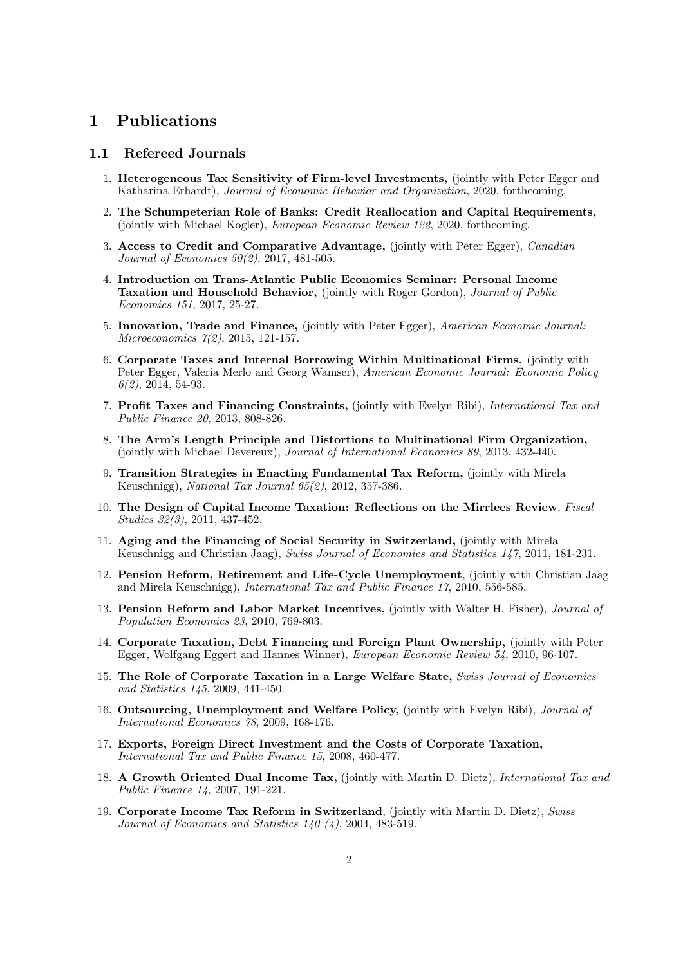# 1 Publications

### 1.1 Refereed Journals

- 1. Heterogeneous Tax Sensitivity of Firm-level Investments, (jointly with Peter Egger and Katharina Erhardt), Journal of Economic Behavior and Organization, 2020, forthcoming.
- 2. The Schumpeterian Role of Banks: Credit Reallocation and Capital Requirements, (jointly with Michael Kogler), European Economic Review 122, 2020, forthcoming.
- 3. Access to Credit and Comparative Advantage, (jointly with Peter Egger), Canadian Journal of Economics 50(2), 2017, 481-505.
- 4. Introduction on Trans-Atlantic Public Economics Seminar: Personal Income Taxation and Household Behavior, (jointly with Roger Gordon), Journal of Public Economics 151, 2017, 25-27.
- 5. Innovation, Trade and Finance, (jointly with Peter Egger), American Economic Journal: Microeconomics 7(2), 2015, 121-157.
- 6. Corporate Taxes and Internal Borrowing Within Multinational Firms, (jointly with Peter Egger, Valeria Merlo and Georg Wamser), American Economic Journal: Economic Policy  $6(2)$ , 2014, 54-93.
- 7. Profit Taxes and Financing Constraints, (jointly with Evelyn Ribi), International Tax and Public Finance 20, 2013, 808-826.
- 8. The Arm's Length Principle and Distortions to Multinational Firm Organization, (jointly with Michael Devereux), Journal of International Economics 89, 2013, 432-440.
- 9. Transition Strategies in Enacting Fundamental Tax Reform, (jointly with Mirela Keuschnigg), National Tax Journal 65(2), 2012, 357-386.
- 10. The Design of Capital Income Taxation: Reflections on the Mirrlees Review, Fiscal Studies 32(3), 2011, 437-452.
- 11. Aging and the Financing of Social Security in Switzerland, (jointly with Mirela Keuschnigg and Christian Jaag), Swiss Journal of Economics and Statistics 147, 2011, 181-231.
- 12. Pension Reform, Retirement and Life-Cycle Unemployment, (jointly with Christian Jaag and Mirela Keuschnigg), International Tax and Public Finance 17, 2010, 556-585.
- 13. Pension Reform and Labor Market Incentives, (jointly with Walter H. Fisher), Journal of Population Economics 23, 2010, 769-803.
- 14. Corporate Taxation, Debt Financing and Foreign Plant Ownership, (jointly with Peter Egger, Wolfgang Eggert and Hannes Winner), European Economic Review 54, 2010, 96-107.
- 15. The Role of Corporate Taxation in a Large Welfare State, Swiss Journal of Economics and Statistics 145, 2009, 441-450.
- 16. Outsourcing, Unemployment and Welfare Policy, (jointly with Evelyn Ribi), Journal of International Economics 78, 2009, 168-176.
- 17. Exports, Foreign Direct Investment and the Costs of Corporate Taxation, International Tax and Public Finance 15, 2008, 460-477.
- 18. A Growth Oriented Dual Income Tax, (jointly with Martin D. Dietz), International Tax and Public Finance 14, 2007, 191-221.
- 19. Corporate Income Tax Reform in Switzerland, (jointly with Martin D. Dietz), Swiss Journal of Economics and Statistics 140 (4), 2004, 483-519.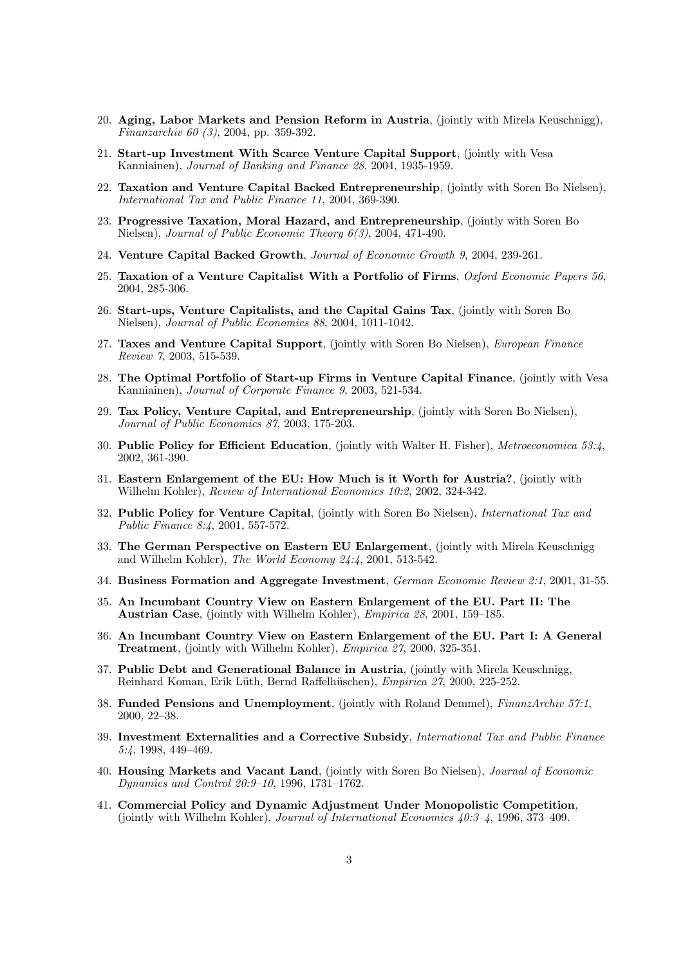- 20. Aging, Labor Markets and Pension Reform in Austria, (jointly with Mirela Keuschnigg), Finanzarchiv 60 (3), 2004, pp. 359-392.
- 21. Start-up Investment With Scarce Venture Capital Support, (jointly with Vesa Kanniainen), Journal of Banking and Finance 28, 2004, 1935-1959.
- 22. Taxation and Venture Capital Backed Entrepreneurship, (jointly with Soren Bo Nielsen), International Tax and Public Finance 11, 2004, 369-390.
- 23. Progressive Taxation, Moral Hazard, and Entrepreneurship, (jointly with Soren Bo Nielsen), Journal of Public Economic Theory 6(3), 2004, 471-490.
- 24. Venture Capital Backed Growth, Journal of Economic Growth 9, 2004, 239-261.
- 25. Taxation of a Venture Capitalist With a Portfolio of Firms, Oxford Economic Papers 56, 2004, 285-306.
- 26. Start-ups, Venture Capitalists, and the Capital Gains Tax, (jointly with Soren Bo Nielsen), Journal of Public Economics 88, 2004, 1011-1042.
- 27. Taxes and Venture Capital Support, (jointly with Soren Bo Nielsen), *European Finance* Review 7, 2003, 515-539.
- 28. The Optimal Portfolio of Start-up Firms in Venture Capital Finance, (jointly with Vesa Kanniainen), Journal of Corporate Finance 9, 2003, 521-534.
- 29. Tax Policy, Venture Capital, and Entrepreneurship, (jointly with Soren Bo Nielsen), Journal of Public Economics 87, 2003, 175-203.
- 30. Public Policy for Efficient Education, (jointly with Walter H. Fisher), Metroeconomica 53:4, 2002, 361-390.
- 31. Eastern Enlargement of the EU: How Much is it Worth for Austria?, (jointly with Wilhelm Kohler), Review of International Economics 10:2, 2002, 324-342.
- 32. Public Policy for Venture Capital, (jointly with Soren Bo Nielsen), International Tax and Public Finance 8:4, 2001, 557-572.
- 33. The German Perspective on Eastern EU Enlargement, (jointly with Mirela Keuschnigg and Wilhelm Kohler), The World Economy 24:4, 2001, 513-542.
- 34. Business Formation and Aggregate Investment, German Economic Review 2:1, 2001, 31-55.
- 35. An Incumbant Country View on Eastern Enlargement of the EU. Part II: The Austrian Case, (jointly with Wilhelm Kohler), Empirica 28, 2001, 159—185.
- 36. An Incumbant Country View on Eastern Enlargement of the EU. Part I: A General Treatment, (jointly with Wilhelm Kohler), Empirica 27, 2000, 325-351.
- 37. Public Debt and Generational Balance in Austria, (jointly with Mirela Keuschnigg, Reinhard Koman, Erik L¨uth, Bernd Raffelh¨uschen), Empirica 27, 2000, 225-252.
- 38. Funded Pensions and Unemployment, (jointly with Roland Demmel), FinanzArchiv 57:1, 2000, 22—38.
- 39. Investment Externalities and a Corrective Subsidy, International Tax and Public Finance 5:4, 1998, 449—469.
- 40. Housing Markets and Vacant Land, (jointly with Soren Bo Nielsen), Journal of Economic Dynamics and Control 20:9—10, 1996, 1731—1762.
- 41. Commercial Policy and Dynamic Adjustment Under Monopolistic Competition, (jointly with Wilhelm Kohler), Journal of International Economics 40:3—4, 1996, 373—409.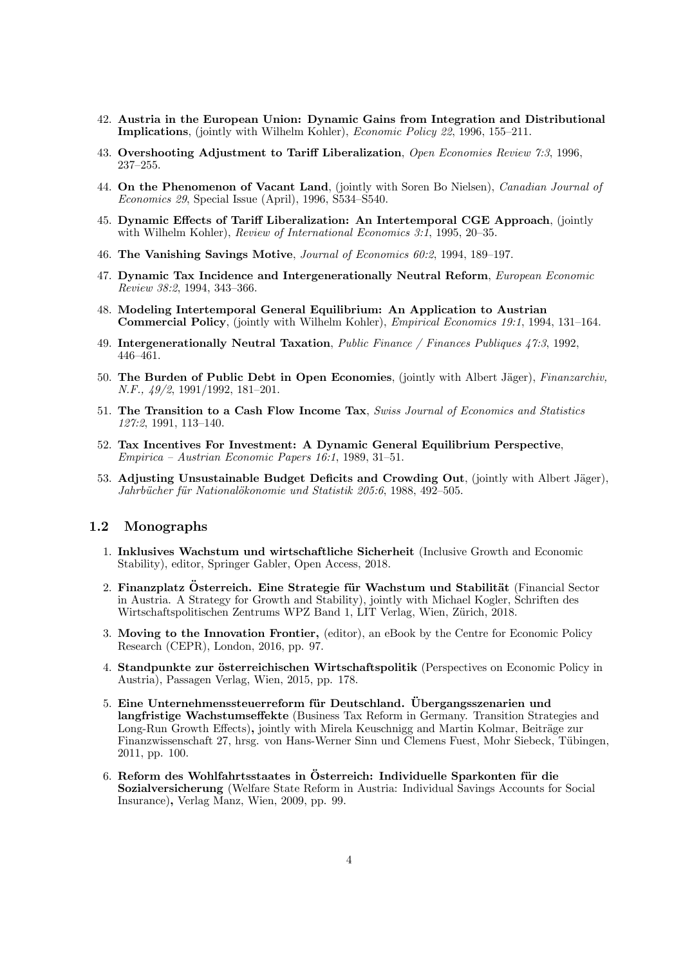- 42. Austria in the European Union: Dynamic Gains from Integration and Distributional Implications, (jointly with Wilhelm Kohler), Economic Policy 22, 1996, 155—211.
- 43. Overshooting Adjustment to Tariff Liberalization, Open Economies Review 7:3, 1996, 237—255.
- 44. On the Phenomenon of Vacant Land, (jointly with Soren Bo Nielsen), Canadian Journal of Economics 29, Special Issue (April), 1996, S534—S540.
- 45. Dynamic Effects of Tariff Liberalization: An Intertemporal CGE Approach, (jointly with Wilhelm Kohler), Review of International Economics 3:1, 1995, 20—35.
- 46. The Vanishing Savings Motive, Journal of Economics 60:2, 1994, 189—197.
- 47. Dynamic Tax Incidence and Intergenerationally Neutral Reform, European Economic Review 38:2, 1994, 343—366.
- 48. Modeling Intertemporal General Equilibrium: An Application to Austrian Commercial Policy, (jointly with Wilhelm Kohler), Empirical Economics 19:1, 1994, 131—164.
- 49. Intergenerationally Neutral Taxation, Public Finance / Finances Publiques 47:3, 1992, 446—461.
- 50. The Burden of Public Debt in Open Economies, (jointly with Albert Jäger), Finanzarchiv, N.F.,  $\frac{49}{2}$ , 1991/1992, 181-201.
- 51. The Transition to a Cash Flow Income Tax, Swiss Journal of Economics and Statistics 127:2, 1991, 113—140.
- 52. Tax Incentives For Investment: A Dynamic General Equilibrium Perspective, Empirica — Austrian Economic Papers 16:1, 1989, 31—51.
- 53. Adjusting Unsustainable Budget Deficits and Crowding Out, (jointly with Albert Jäger), Jahrbücher für Nationalökonomie und Statistik 205:6, 1988, 492–505.

### 1.2 Monographs

- 1. Inklusives Wachstum und wirtschaftliche Sicherheit (Inclusive Growth and Economic Stability), editor, Springer Gabler, Open Access, 2018.
- 2. Finanzplatz Österreich. Eine Strategie für Wachstum und Stabilität (Financial Sector in Austria. A Strategy for Growth and Stability), jointly with Michael Kogler, Schriften des Wirtschaftspolitischen Zentrums WPZ Band 1, LIT Verlag, Wien, Zürich, 2018.
- 3. Moving to the Innovation Frontier, (editor), an eBook by the Centre for Economic Policy Research (CEPR), London, 2016, pp. 97.
- 4. Standpunkte zur österreichischen Wirtschaftspolitik (Perspectives on Economic Policy in Austria), Passagen Verlag, Wien, 2015, pp. 178.
- 5. Eine Unternehmenssteuerreform für Deutschland. Übergangsszenarien und langfristige Wachstumseffekte (Business Tax Reform in Germany. Transition Strategies and Long-Run Growth Effects), jointly with Mirela Keuschnigg and Martin Kolmar, Beiträge zur Finanzwissenschaft 27, hrsg. von Hans-Werner Sinn und Clemens Fuest, Mohr Siebeck, Tübingen, 2011, pp. 100.
- 6. Reform des Wohlfahrtsstaates in Österreich: Individuelle Sparkonten für die Sozialversicherung (Welfare State Reform in Austria: Individual Savings Accounts for Social Insurance), Verlag Manz, Wien, 2009, pp. 99.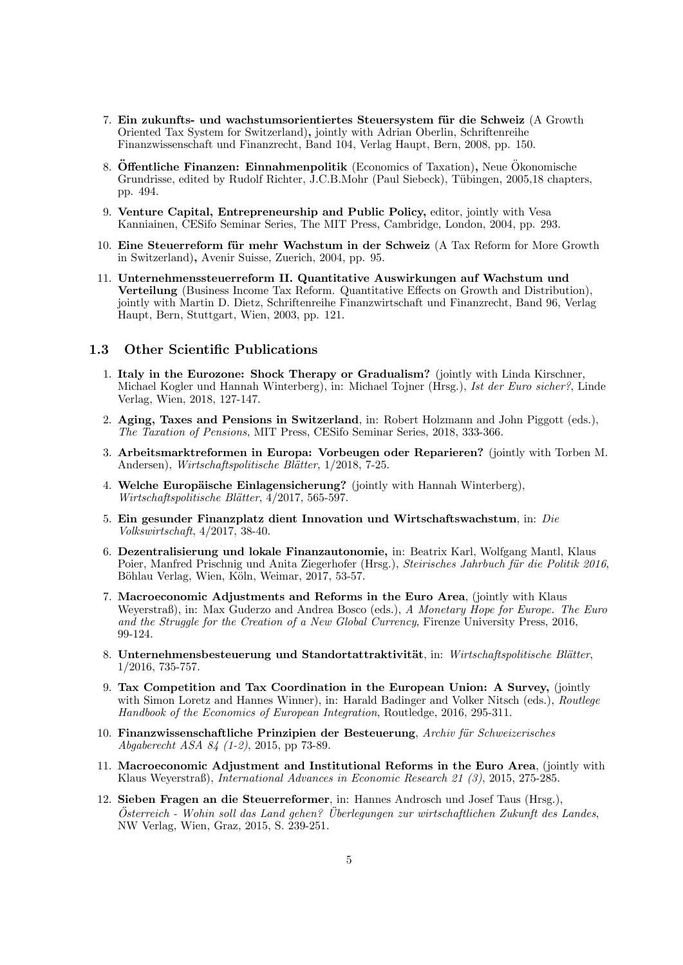- 7. Ein zukunfts- und wachstumsorientiertes Steuersystem für die Schweiz (A Growth Oriented Tax System for Switzerland), jointly with Adrian Oberlin, Schriftenreihe Finanzwissenschaft und Finanzrecht, Band 104, Verlag Haupt, Bern, 2008, pp. 150.
- 8. **Offentliche Finanzen: Einnahmenpolitik** (Economics of Taxation), Neue Okonomische Grundrisse, edited by Rudolf Richter, J.C.B.Mohr (Paul Siebeck), Tübingen, 2005,18 chapters, pp. 494.
- 9. Venture Capital, Entrepreneurship and Public Policy, editor, jointly with Vesa Kanniainen, CESifo Seminar Series, The MIT Press, Cambridge, London, 2004, pp. 293.
- 10. Eine Steuerreform für mehr Wachstum in der Schweiz (A Tax Reform for More Growth in Switzerland), Avenir Suisse, Zuerich, 2004, pp. 95.
- 11. Unternehmenssteuerreform II. Quantitative Auswirkungen auf Wachstum und Verteilung (Business Income Tax Reform. Quantitative Effects on Growth and Distribution), jointly with Martin D. Dietz, Schriftenreihe Finanzwirtschaft und Finanzrecht, Band 96, Verlag Haupt, Bern, Stuttgart, Wien, 2003, pp. 121.

### 1.3 Other Scientific Publications

- 1. Italy in the Eurozone: Shock Therapy or Gradualism? (jointly with Linda Kirschner, Michael Kogler und Hannah Winterberg), in: Michael Tojner (Hrsg.), Ist der Euro sicher?, Linde Verlag, Wien, 2018, 127-147.
- 2. Aging, Taxes and Pensions in Switzerland, in: Robert Holzmann and John Piggott (eds.), The Taxation of Pensions, MIT Press, CESifo Seminar Series, 2018, 333-366.
- 3. Arbeitsmarktreformen in Europa: Vorbeugen oder Reparieren? (jointly with Torben M. Andersen), Wirtschaftspolitische Blätter, 1/2018, 7-25.
- 4. Welche Europäische Einlagensicherung? (jointly with Hannah Winterberg), Wirtschaftspolitische Blätter, 4/2017, 565-597.
- 5. Ein gesunder Finanzplatz dient Innovation und Wirtschaftswachstum, in: Die Volkswirtschaft, 4/2017, 38-40.
- 6. Dezentralisierung und lokale Finanzautonomie, in: Beatrix Karl, Wolfgang Mantl, Klaus Poier, Manfred Prischnig und Anita Ziegerhofer (Hrsg.), Steirisches Jahrbuch für die Politik 2016, Böhlau Verlag, Wien, Köln, Weimar, 2017, 53-57.
- 7. Macroeconomic Adjustments and Reforms in the Euro Area, (jointly with Klaus Weyerstraß), in: Max Guderzo and Andrea Bosco (eds.), A Monetary Hope for Europe. The Euro and the Struggle for the Creation of a New Global Currency, Firenze University Press, 2016, 99-124.
- 8. Unternehmensbesteuerung und Standortattraktivität, in: Wirtschaftspolitische Blätter, 1/2016, 735-757.
- 9. Tax Competition and Tax Coordination in the European Union: A Survey, (jointly with Simon Loretz and Hannes Winner), in: Harald Badinger and Volker Nitsch (eds.), *Routlege* Handbook of the Economics of European Integration, Routledge, 2016, 295-311.
- 10. Finanzwissenschaftliche Prinzipien der Besteuerung, Archiv für Schweizerisches Abgaberecht ASA 84 (1-2), 2015, pp 73-89.
- 11. Macroeconomic Adjustment and Institutional Reforms in the Euro Area, (jointly with Klaus Weyerstraß), International Advances in Economic Research 21 (3), 2015, 275-285.
- 12. Sieben Fragen an die Steuerreformer, in: Hannes Androsch und Josef Taus (Hrsg.),  $Österreich$  - Wohin soll das Land gehen? Überlegungen zur wirtschaftlichen Zukunft des Landes, NW Verlag, Wien, Graz, 2015, S. 239-251.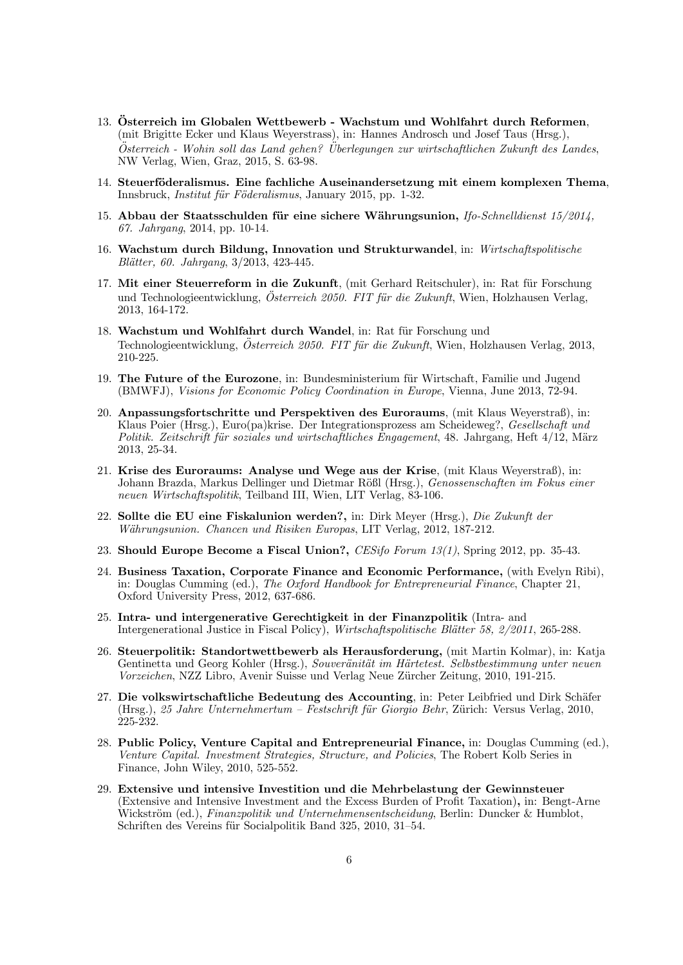- 13. Österreich im Globalen Wettbewerb Wachstum und Wohlfahrt durch Reformen. (mit Brigitte Ecker und Klaus Weyerstrass), in: Hannes Androsch und Josef Taus (Hrsg.),  $Österreich$  - Wohin soll das Land gehen? Überlegungen zur wirtschaftlichen Zukunft des Landes. NW Verlag, Wien, Graz, 2015, S. 63-98.
- 14. Steuerföderalismus. Eine fachliche Auseinandersetzung mit einem komplexen Thema, Innsbruck, *Institut für Föderalismus*, January 2015, pp. 1-32.
- 15. Abbau der Staatsschulden für eine sichere Währungsunion, Ifo-Schnelldienst 15/2014, 67. Jahrgang, 2014, pp. 10-14.
- 16. Wachstum durch Bildung, Innovation und Strukturwandel, in: Wirtschaftspolitische Blätter, 60. Jahrgang, 3/2013, 423-445.
- 17. Mit einer Steuerreform in die Zukunft, (mit Gerhard Reitschuler), in: Rat für Forschung und Technologieentwicklung, Österreich 2050. FIT für die Zukunft, Wien, Holzhausen Verlag, 2013, 164-172.
- 18. Wachstum und Wohlfahrt durch Wandel, in: Rat für Forschung und Technologieentwicklung, Österreich 2050. FIT für die Zukunft, Wien, Holzhausen Verlag, 2013, 210-225.
- 19. The Future of the Eurozone, in: Bundesministerium für Wirtschaft, Familie und Jugend (BMWFJ), Visions for Economic Policy Coordination in Europe, Vienna, June 2013, 72-94.
- 20. Anpassungsfortschritte und Perspektiven des Euroraums, (mit Klaus Weyerstraß), in: Klaus Poier (Hrsg.), Euro(pa)krise. Der Integrationsprozess am Scheideweg?, Gesellschaft und Politik. Zeitschrift für soziales und wirtschaftliches Engagement, 48. Jahrgang, Heft 4/12, März 2013, 25-34.
- 21. Krise des Euroraums: Analyse und Wege aus der Krise, (mit Klaus Weyerstraß), in: Johann Brazda, Markus Dellinger und Dietmar Rößl (Hrsg.), Genossenschaften im Fokus einer neuen Wirtschaftspolitik, Teilband III, Wien, LIT Verlag, 83-106.
- 22. Sollte die EU eine Fiskalunion werden?, in: Dirk Meyer (Hrsg.), Die Zukunft der Währungsunion. Chancen und Risiken Europas, LIT Verlag, 2012, 187-212.
- 23. Should Europe Become a Fiscal Union?, CESifo Forum 13(1), Spring 2012, pp. 35-43.
- 24. Business Taxation, Corporate Finance and Economic Performance, (with Evelyn Ribi), in: Douglas Cumming (ed.), The Oxford Handbook for Entrepreneurial Finance, Chapter 21, Oxford University Press, 2012, 637-686.
- 25. Intra- und intergenerative Gerechtigkeit in der Finanzpolitik (Intra- and Intergenerational Justice in Fiscal Policy), Wirtschaftspolitische Blätter 58, 2/2011, 265-288.
- 26. Steuerpolitik: Standortwettbewerb als Herausforderung, (mit Martin Kolmar), in: Katja Gentinetta und Georg Kohler (Hrsg.), Souveränität im Härtetest. Selbstbestimmung unter neuen Vorzeichen, NZZ Libro, Avenir Suisse und Verlag Neue Zürcher Zeitung, 2010, 191-215.
- 27. Die volkswirtschaftliche Bedeutung des Accounting, in: Peter Leibfried und Dirk Schäfer (Hrsg.), 25 Jahre Unternehmertum – Festschrift für Giorgio Behr, Zürich: Versus Verlag, 2010,  $\sum_{25}^{8}$
- 28. Public Policy, Venture Capital and Entrepreneurial Finance, in: Douglas Cumming (ed.), Venture Capital. Investment Strategies, Structure, and Policies, The Robert Kolb Series in Finance, John Wiley, 2010, 525-552.
- 29. Extensive und intensive Investition und die Mehrbelastung der Gewinnsteuer (Extensive and Intensive Investment and the Excess Burden of Profit Taxation), in: Bengt-Arne Wickström (ed.), Finanzpolitik und Unternehmensentscheidung, Berlin: Duncker & Humblot, Schriften des Vereins für Socialpolitik Band 325, 2010, 31–54.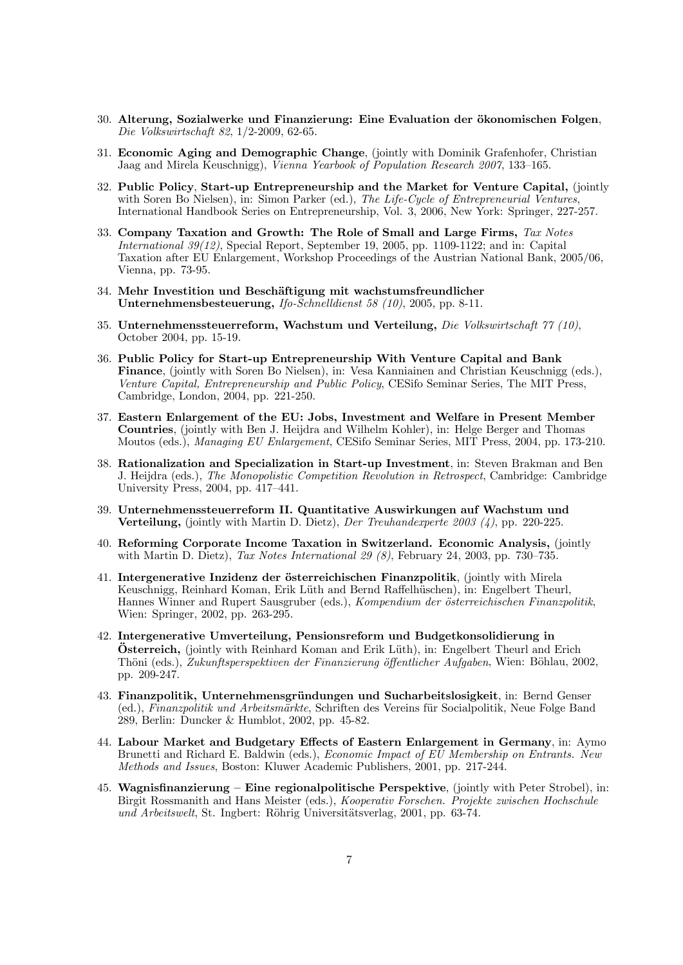- 30. Alterung, Sozialwerke und Finanzierung: Eine Evaluation der ökonomischen Folgen, Die Volkswirtschaft 82, 1/2-2009, 62-65.
- 31. Economic Aging and Demographic Change, (jointly with Dominik Grafenhofer, Christian Jaag and Mirela Keuschnigg), Vienna Yearbook of Population Research 2007, 133—165.
- 32. Public Policy, Start-up Entrepreneurship and the Market for Venture Capital, (jointly with Soren Bo Nielsen), in: Simon Parker (ed.), The Life-Cycle of Entrepreneurial Ventures, International Handbook Series on Entrepreneurship, Vol. 3, 2006, New York: Springer, 227-257.
- 33. Company Taxation and Growth: The Role of Small and Large Firms, Tax Notes International 39(12), Special Report, September 19, 2005, pp. 1109-1122; and in: Capital Taxation after EU Enlargement, Workshop Proceedings of the Austrian National Bank, 2005/06, Vienna, pp. 73-95.
- 34. Mehr Investition und Beschäftigung mit wachstumsfreundlicher Unternehmensbesteuerung, Ifo-Schnelldienst 58 (10), 2005, pp. 8-11.
- 35. Unternehmenssteuerreform, Wachstum und Verteilung, Die Volkswirtschaft 77 (10), October 2004, pp. 15-19.
- 36. Public Policy for Start-up Entrepreneurship With Venture Capital and Bank Finance, (jointly with Soren Bo Nielsen), in: Vesa Kanniainen and Christian Keuschnigg (eds.), Venture Capital, Entrepreneurship and Public Policy, CESifo Seminar Series, The MIT Press, Cambridge, London, 2004, pp. 221-250.
- 37. Eastern Enlargement of the EU: Jobs, Investment and Welfare in Present Member Countries, (jointly with Ben J. Heijdra and Wilhelm Kohler), in: Helge Berger and Thomas Moutos (eds.), Managing EU Enlargement, CESifo Seminar Series, MIT Press, 2004, pp. 173-210.
- 38. Rationalization and Specialization in Start-up Investment, in: Steven Brakman and Ben J. Heijdra (eds.), The Monopolistic Competition Revolution in Retrospect, Cambridge: Cambridge University Press, 2004, pp. 417—441.
- 39. Unternehmenssteuerreform II. Quantitative Auswirkungen auf Wachstum und Verteilung, (jointly with Martin D. Dietz), Der Treuhandexperte 2003 (4), pp. 220-225.
- 40. Reforming Corporate Income Taxation in Switzerland. Economic Analysis, (jointly with Martin D. Dietz), Tax Notes International 29 (8), February 24, 2003, pp. 730–735.
- 41. Intergenerative Inzidenz der österreichischen Finanzpolitik, (jointly with Mirela Keuschnigg, Reinhard Koman, Erik Lüth and Bernd Raffelhüschen), in: Engelbert Theurl, Hannes Winner and Rupert Sausgruber (eds.), Kompendium der österreichischen Finanzpolitik, Wien: Springer, 2002, pp. 263-295.
- 42. Intergenerative Umverteilung, Pensionsreform und Budgetkonsolidierung in **Österreich,** (jointly with Reinhard Koman and Erik Lüth), in: Engelbert Theurl and Erich Thöni (eds.), Zukunftsperspektiven der Finanzierung öffentlicher Aufgaben, Wien: Böhlau, 2002, pp. 209-247.
- 43. Finanzpolitik, Unternehmensgründungen und Sucharbeitslosigkeit, in: Bernd Genser (ed.), Finanzpolitik und Arbeitsmärkte, Schriften des Vereins für Socialpolitik, Neue Folge Band 289, Berlin: Duncker & Humblot, 2002, pp. 45-82.
- 44. Labour Market and Budgetary Effects of Eastern Enlargement in Germany, in: Aymo Brunetti and Richard E. Baldwin (eds.), Economic Impact of EU Membership on Entrants. New Methods and Issues, Boston: Kluwer Academic Publishers, 2001, pp. 217-244.
- 45. Wagnisfinanzierung Eine regionalpolitische Perspektive, (jointly with Peter Strobel), in: Birgit Rossmanith and Hans Meister (eds.), Kooperativ Forschen. Projekte zwischen Hochschule und Arbeitswelt, St. Ingbert: Röhrig Universitätsverlag, 2001, pp. 63-74.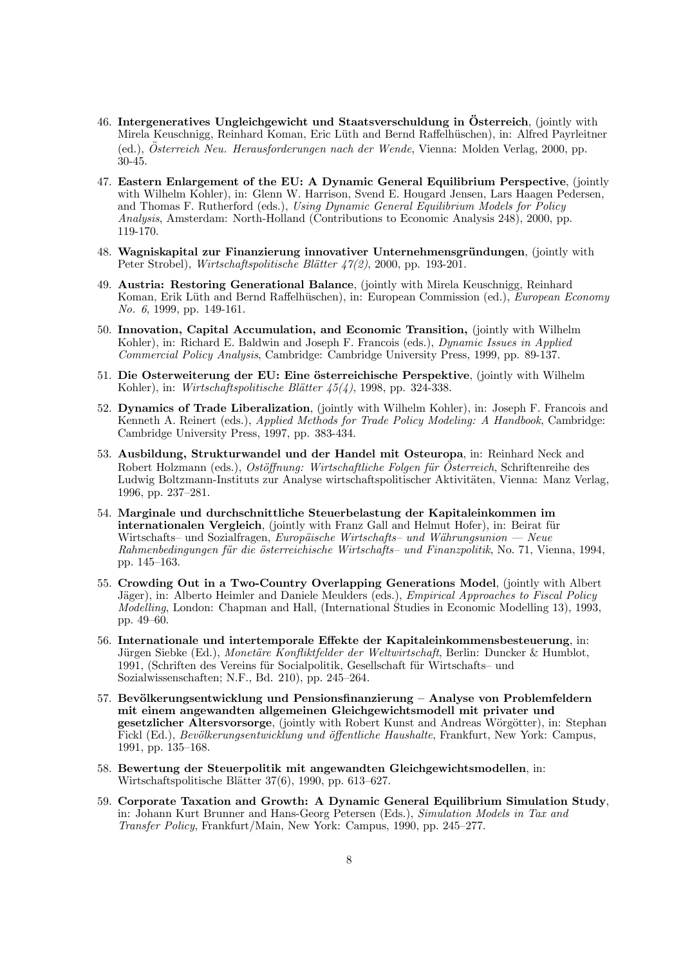- 46. Intergeneratives Ungleichgewicht und Staatsverschuldung in Österreich, (jointly with Mirela Keuschnigg, Reinhard Koman, Eric Lüth and Bernd Raffelhüschen), in: Alfred Payrleitner (ed.), Österreich Neu. Herausforderungen nach der Wende, Vienna: Molden Verlag, 2000, pp. 30-45.
- 47. Eastern Enlargement of the EU: A Dynamic General Equilibrium Perspective, (jointly with Wilhelm Kohler), in: Glenn W. Harrison, Svend E. Hougard Jensen, Lars Haagen Pedersen, and Thomas F. Rutherford (eds.), Using Dynamic General Equilibrium Models for Policy Analysis, Amsterdam: North-Holland (Contributions to Economic Analysis 248), 2000, pp. 119-170.
- 48. Wagniskapital zur Finanzierung innovativer Unternehmensgründungen, (jointly with Peter Strobel), Wirtschaftspolitische Blätter 47(2), 2000, pp. 193-201.
- 49. Austria: Restoring Generational Balance, (jointly with Mirela Keuschnigg, Reinhard Koman, Erik Lüth and Bernd Raffelhüschen), in: European Commission (ed.), European Economy No. 6, 1999, pp. 149-161.
- 50. Innovation, Capital Accumulation, and Economic Transition, (jointly with Wilhelm Kohler), in: Richard E. Baldwin and Joseph F. Francois (eds.), *Dynamic Issues in Applied* Commercial Policy Analysis, Cambridge: Cambridge University Press, 1999, pp. 89-137.
- 51. Die Osterweiterung der EU: Eine österreichische Perspektive, (jointly with Wilhelm Kohler), in: Wirtschaftspolitische Blätter  $\frac{45}{4}$ , 1998, pp. 324-338.
- 52. Dynamics of Trade Liberalization, (jointly with Wilhelm Kohler), in: Joseph F. Francois and Kenneth A. Reinert (eds.), Applied Methods for Trade Policy Modeling: A Handbook, Cambridge: Cambridge University Press, 1997, pp. 383-434.
- 53. Ausbildung, Strukturwandel und der Handel mit Osteuropa, in: Reinhard Neck and Robert Holzmann (eds.), Ostöffnung: Wirtschaftliche Folgen für Osterreich, Schriftenreihe des Ludwig Boltzmann-Instituts zur Analyse wirtschaftspolitischer Aktivitäten, Vienna: Manz Verlag, 1996, pp. 237—281.
- 54. Marginale und durchschnittliche Steuerbelastung der Kapitaleinkommen im internationalen Vergleich, (jointly with Franz Gall and Helmut Hofer), in: Beirat für Wirtschafts– und Sozialfragen, Europäische Wirtschafts– und Währungsunion – Neue Rahmenbedingungen für die österreichische Wirtschafts- und Finanzpolitik, No. 71, Vienna, 1994, pp. 145—163.
- 55. Crowding Out in a Two-Country Overlapping Generations Model, (jointly with Albert Jäger), in: Alberto Heimler and Daniele Meulders (eds.), *Empirical Approaches to Fiscal Policy* Modelling, London: Chapman and Hall, (International Studies in Economic Modelling 13), 1993, pp. 49—60.
- 56. Internationale und intertemporale Effekte der Kapitaleinkommensbesteuerung, in: Jürgen Siebke (Ed.), Monetäre Konfliktfelder der Weltwirtschaft, Berlin: Duncker & Humblot, 1991, (Schriften des Vereins für Socialpolitik, Gesellschaft für Wirtschafts- und Sozialwissenschaften; N.F., Bd. 210), pp. 245—264.
- 57. Bevölkerungsentwicklung und Pensionsfinanzierung Analyse von Problemfeldern mit einem angewandten allgemeinen Gleichgewichtsmodell mit privater und gesetzlicher Altersvorsorge, (jointly with Robert Kunst and Andreas Wörgötter), in: Stephan Fickl (Ed.), Bevölkerungsentwicklung und öffentliche Haushalte, Frankfurt, New York: Campus, 1991, pp. 135—168.
- 58. Bewertung der Steuerpolitik mit angewandten Gleichgewichtsmodellen, in: Wirtschaftspolitische Blätter 37(6), 1990, pp. 613–627.
- 59. Corporate Taxation and Growth: A Dynamic General Equilibrium Simulation Study, in: Johann Kurt Brunner and Hans-Georg Petersen (Eds.), Simulation Models in Tax and Transfer Policy, Frankfurt/Main, New York: Campus, 1990, pp. 245—277.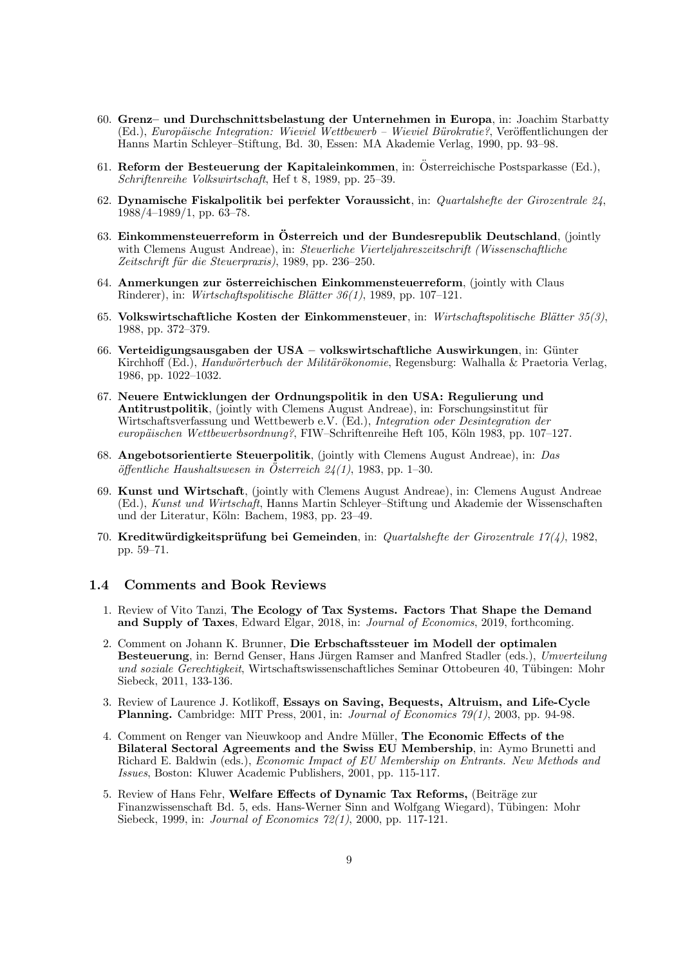- 60. Grenz— und Durchschnittsbelastung der Unternehmen in Europa, in: Joachim Starbatty (Ed.), Europäische Integration: Wieviel Wettbewerb – Wieviel Bürokratie?, Veröffentlichungen der Hanns Martin Schleyer—Stiftung, Bd. 30, Essen: MA Akademie Verlag, 1990, pp. 93—98.
- 61. Reform der Besteuerung der Kapitaleinkommen, in: Osterreichische Postsparkasse (Ed.), Schriftenreihe Volkswirtschaft, Hef t 8, 1989, pp. 25—39.
- 62. Dynamische Fiskalpolitik bei perfekter Voraussicht, in: Quartalshefte der Girozentrale 24, 1988/4—1989/1, pp. 63—78.
- 63. Einkommensteuerreform in Österreich und der Bundesrepublik Deutschland, (jointly with Clemens August Andreae), in: Steuerliche Vierteljahreszeitschrift (Wissenschaftliche Zeitschrift für die Steuerpraxis), 1989, pp. 236–250.
- 64. Anmerkungen zur österreichischen Einkommensteuerreform, (jointly with Claus Rinderer), in: Wirtschaftspolitische Blätter 36(1), 1989, pp. 107–121.
- 65. Volkswirtschaftliche Kosten der Einkommensteuer, in: Wirtschaftspolitische Blätter 35(3), 1988, pp. 372—379.
- 66. Verteidigungsausgaben der USA volkswirtschaftliche Auswirkungen, in: Günter Kirchhoff (Ed.), *Handwörterbuch der Militärökonomie*, Regensburg: Walhalla & Praetoria Verlag, 1986, pp. 1022—1032.
- 67. Neuere Entwicklungen der Ordnungspolitik in den USA: Regulierung und Antitrustpolitik, (jointly with Clemens August Andreae), in: Forschungsinstitut für Wirtschaftsverfassung und Wettbewerb e.V. (Ed.), Integration oder Desintegration der europäischen Wettbewerbsordnung?, FIW-Schriftenreihe Heft 105, Köln 1983, pp. 107–127.
- 68. Angebotsorientierte Steuerpolitik, (jointly with Clemens August Andreae), in: Das  $\ddot{\text{off}}$ entliche Haushaltswesen in Österreich 24(1), 1983, pp. 1–30.
- 69. Kunst und Wirtschaft, (jointly with Clemens August Andreae), in: Clemens August Andreae (Ed.), Kunst und Wirtschaft, Hanns Martin Schleyer—Stiftung und Akademie der Wissenschaften und der Literatur, Köln: Bachem, 1983, pp. 23–49.
- 70. Kreditwürdigkeitsprüfung bei Gemeinden, in: Quartalshefte der Girozentrale 17(4), 1982, pp. 59—71.

### 1.4 Comments and Book Reviews

- 1. Review of Vito Tanzi, The Ecology of Tax Systems. Factors That Shape the Demand and Supply of Taxes, Edward Elgar, 2018, in: Journal of Economics, 2019, forthcoming.
- 2. Comment on Johann K. Brunner, Die Erbschaftssteuer im Modell der optimalen Besteuerung, in: Bernd Genser, Hans Jürgen Ramser and Manfred Stadler (eds.), Umverteilung und soziale Gerechtigkeit, Wirtschaftswissenschaftliches Seminar Ottobeuren 40, Tübingen: Mohr Siebeck, 2011, 133-136.
- 3. Review of Laurence J. Kotlikoff, Essays on Saving, Bequests, Altruism, and Life-Cycle Planning. Cambridge: MIT Press, 2001, in: Journal of Economics  $79(1)$ , 2003, pp. 94-98.
- 4. Comment on Renger van Nieuwkoop and Andre Müller, The Economic Effects of the Bilateral Sectoral Agreements and the Swiss EU Membership, in: Aymo Brunetti and Richard E. Baldwin (eds.), Economic Impact of EU Membership on Entrants. New Methods and Issues, Boston: Kluwer Academic Publishers, 2001, pp. 115-117.
- 5. Review of Hans Fehr, Welfare Effects of Dynamic Tax Reforms, (Beiträge zur Finanzwissenschaft Bd. 5, eds. Hans-Werner Sinn and Wolfgang Wiegard), Tübingen: Mohr Siebeck, 1999, in: Journal of Economics 72(1), 2000, pp. 117-121.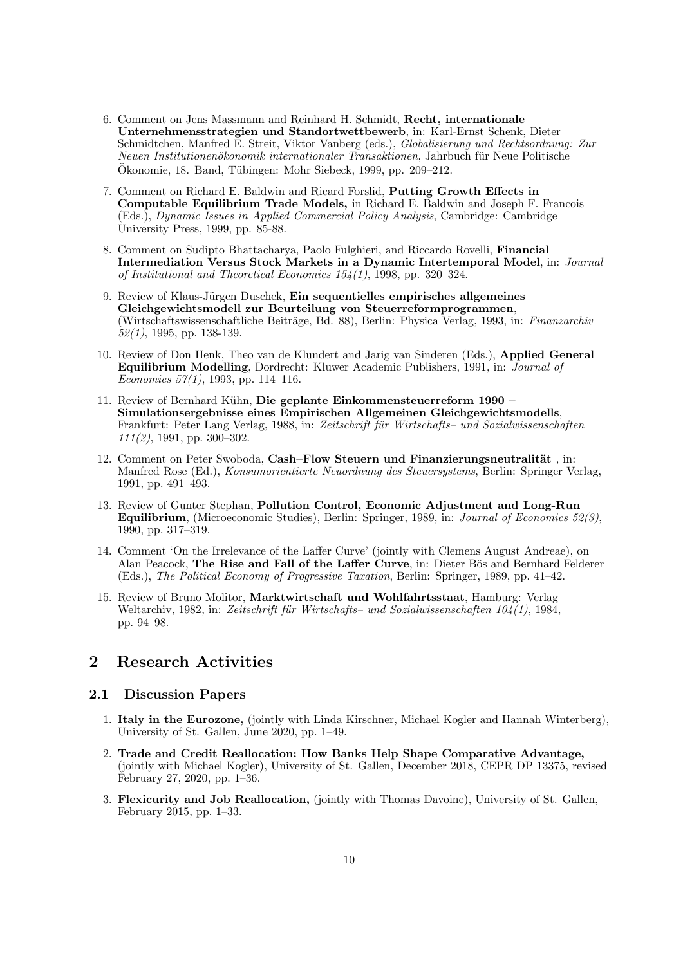- 6. Comment on Jens Massmann and Reinhard H. Schmidt, Recht, internationale Unternehmensstrategien und Standortwettbewerb, in: Karl-Ernst Schenk, Dieter Schmidtchen, Manfred E. Streit, Viktor Vanberg (eds.), Globalisierung und Rechtsordnung: Zur Neuen Institutionenökonomik internationaler Transaktionen, Jahrbuch für Neue Politische Ökonomie, 18. Band, Tübingen: Mohr Siebeck, 1999, pp. 209–212.
- 7. Comment on Richard E. Baldwin and Ricard Forslid, Putting Growth Effects in Computable Equilibrium Trade Models, in Richard E. Baldwin and Joseph F. Francois (Eds.), Dynamic Issues in Applied Commercial Policy Analysis, Cambridge: Cambridge University Press, 1999, pp. 85-88.
- 8. Comment on Sudipto Bhattacharya, Paolo Fulghieri, and Riccardo Rovelli, Financial Intermediation Versus Stock Markets in a Dynamic Intertemporal Model, in: Journal of Institutional and Theoretical Economics 154(1), 1998, pp. 320—324.
- 9. Review of Klaus-Jürgen Duschek, Ein sequentielles empirisches allgemeines Gleichgewichtsmodell zur Beurteilung von Steuerreformprogrammen, (Wirtschaftswissenschaftliche Beiträge, Bd. 88), Berlin: Physica Verlag, 1993, in: Finanzarchiv 52(1), 1995, pp. 138-139.
- 10. Review of Don Henk, Theo van de Klundert and Jarig van Sinderen (Eds.), Applied General Equilibrium Modelling, Dordrecht: Kluwer Academic Publishers, 1991, in: Journal of Economics 57(1), 1993, pp. 114—116.
- 11. Review of Bernhard Kühn, Die geplante Einkommensteuerreform 1990 Simulationsergebnisse eines Empirischen Allgemeinen Gleichgewichtsmodells, Frankfurt: Peter Lang Verlag, 1988, in: Zeitschrift für Wirtschafts- und Sozialwissenschaften  $111(2)$ , 1991, pp. 300-302.
- 12. Comment on Peter Swoboda, Cash–Flow Steuern und Finanzierungsneutralität, in: Manfred Rose (Ed.), Konsumorientierte Neuordnung des Steuersystems, Berlin: Springer Verlag, 1991, pp. 491—493.
- 13. Review of Gunter Stephan, Pollution Control, Economic Adjustment and Long-Run Equilibrium, (Microeconomic Studies), Berlin: Springer, 1989, in: Journal of Economics 52(3), 1990, pp. 317—319.
- 14. Comment 'On the Irrelevance of the Laffer Curve' (jointly with Clemens August Andreae), on Alan Peacock, The Rise and Fall of the Laffer Curve, in: Dieter Bös and Bernhard Felderer (Eds.), The Political Economy of Progressive Taxation, Berlin: Springer, 1989, pp. 41—42.
- 15. Review of Bruno Molitor, Marktwirtschaft und Wohlfahrtsstaat, Hamburg: Verlag Weltarchiv, 1982, in: Zeitschrift für Wirtschafts- und Sozialwissenschaften  $104(1)$ , 1984, pp. 94—98.

# 2 Research Activities

### 2.1 Discussion Papers

- 1. Italy in the Eurozone, (jointly with Linda Kirschner, Michael Kogler and Hannah Winterberg), University of St. Gallen, June 2020, pp. 1—49.
- 2. Trade and Credit Reallocation: How Banks Help Shape Comparative Advantage, (jointly with Michael Kogler), University of St. Gallen, December 2018, CEPR DP 13375, revised February 27, 2020, pp. 1—36.
- 3. Flexicurity and Job Reallocation, (jointly with Thomas Davoine), University of St. Gallen, February 2015, pp. 1—33.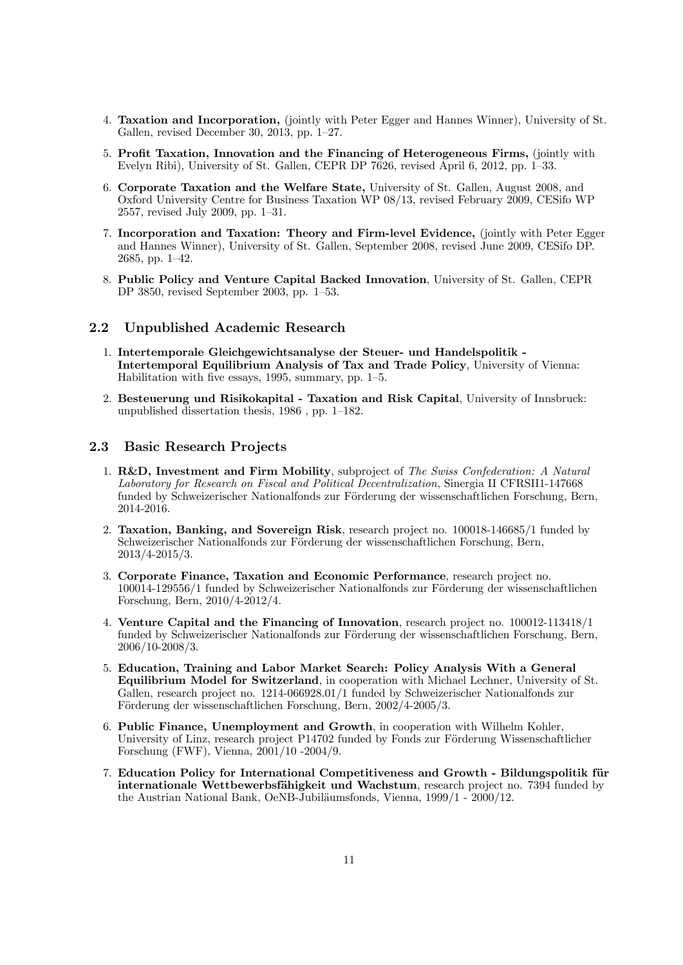- 4. Taxation and Incorporation, (jointly with Peter Egger and Hannes Winner), University of St. Gallen, revised December 30, 2013, pp. 1—27.
- 5. Profit Taxation, Innovation and the Financing of Heterogeneous Firms, (jointly with Evelyn Ribi), University of St. Gallen, CEPR DP 7626, revised April 6, 2012, pp. 1—33.
- 6. Corporate Taxation and the Welfare State, University of St. Gallen, August 2008, and Oxford University Centre for Business Taxation WP 08/13, revised February 2009, CESifo WP 2557, revised July 2009, pp. 1—31.
- 7. Incorporation and Taxation: Theory and Firm-level Evidence, (jointly with Peter Egger and Hannes Winner), University of St. Gallen, September 2008, revised June 2009, CESifo DP. 2685, pp. 1—42.
- 8. Public Policy and Venture Capital Backed Innovation, University of St. Gallen, CEPR DP 3850, revised September 2003, pp. 1—53.

### 2.2 Unpublished Academic Research

- 1. Intertemporale Gleichgewichtsanalyse der Steuer- und Handelspolitik Intertemporal Equilibrium Analysis of Tax and Trade Policy, University of Vienna: Habilitation with five essays, 1995, summary, pp. 1—5.
- 2. Besteuerung und Risikokapital Taxation and Risk Capital, University of Innsbruck: unpublished dissertation thesis, 1986 , pp. 1—182.

### 2.3 Basic Research Projects

- 1. R&D, Investment and Firm Mobility, subproject of The Swiss Confederation: A Natural Laboratory for Research on Fiscal and Political Decentralization, Sinergia II CFRSII1-147668 funded by Schweizerischer Nationalfonds zur Förderung der wissenschaftlichen Forschung, Bern, 2014-2016.
- 2. Taxation, Banking, and Sovereign Risk, research project no. 100018-146685/1 funded by Schweizerischer Nationalfonds zur Förderung der wissenschaftlichen Forschung, Bern, 2013/4-2015/3.
- 3. Corporate Finance, Taxation and Economic Performance, research project no. 100014-129556/1 funded by Schweizerischer Nationalfonds zur Förderung der wissenschaftlichen Forschung, Bern, 2010/4-2012/4.
- 4. Venture Capital and the Financing of Innovation, research project no. 100012-113418/1 funded by Schweizerischer Nationalfonds zur Förderung der wissenschaftlichen Forschung, Bern, 2006/10-2008/3.
- 5. Education, Training and Labor Market Search: Policy Analysis With a General Equilibrium Model for Switzerland, in cooperation with Michael Lechner, University of St. Gallen, research project no. 1214-066928.01/1 funded by Schweizerischer Nationalfonds zur Förderung der wissenschaftlichen Forschung, Bern, 2002/4-2005/3.
- 6. Public Finance, Unemployment and Growth, in cooperation with Wilhelm Kohler, University of Linz, research project P14702 funded by Fonds zur Förderung Wissenschaftlicher Forschung (FWF), Vienna, 2001/10 -2004/9.
- 7. Education Policy for International Competitiveness and Growth Bildungspolitik für internationale Wettbewerbsfähigkeit und Wachstum, research project no. 7394 funded by the Austrian National Bank, OeNB-Jubiläumsfonds, Vienna, 1999/1 - 2000/12.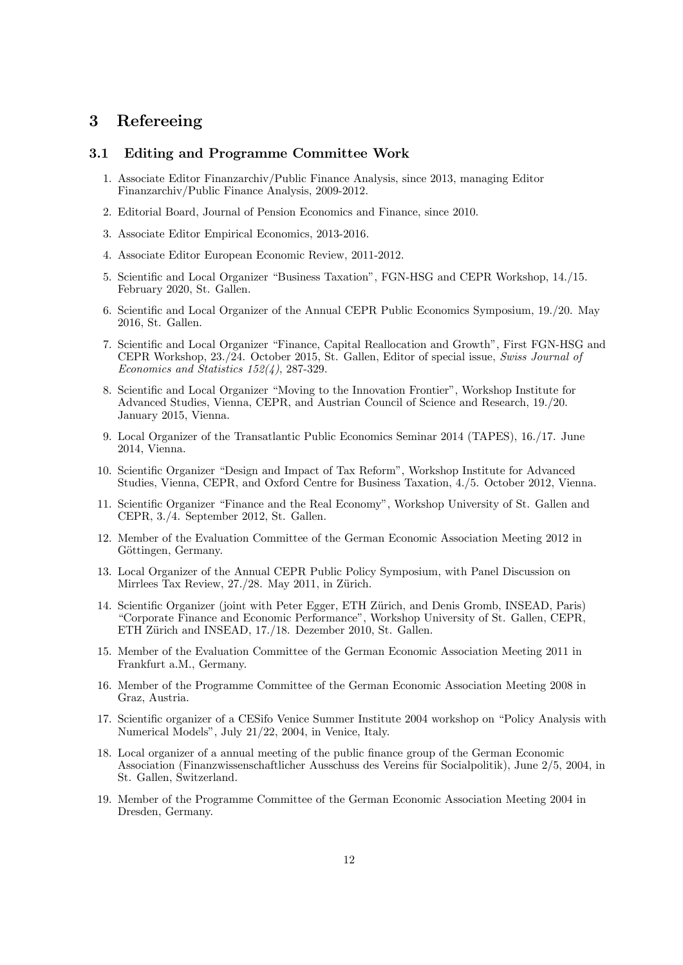# 3 Refereeing

### 3.1 Editing and Programme Committee Work

- 1. Associate Editor Finanzarchiv/Public Finance Analysis, since 2013, managing Editor Finanzarchiv/Public Finance Analysis, 2009-2012.
- 2. Editorial Board, Journal of Pension Economics and Finance, since 2010.
- 3. Associate Editor Empirical Economics, 2013-2016.
- 4. Associate Editor European Economic Review, 2011-2012.
- 5. Scientific and Local Organizer "Business Taxation", FGN-HSG and CEPR Workshop, 14./15. February 2020, St. Gallen.
- 6. Scientific and Local Organizer of the Annual CEPR Public Economics Symposium, 19./20. May 2016, St. Gallen.
- 7. Scientific and Local Organizer "Finance, Capital Reallocation and Growth", First FGN-HSG and CEPR Workshop, 23./24. October 2015, St. Gallen, Editor of special issue, Swiss Journal of Economics and Statistics 152(4), 287-329.
- 8. Scientific and Local Organizer "Moving to the Innovation Frontier", Workshop Institute for Advanced Studies, Vienna, CEPR, and Austrian Council of Science and Research, 19./20. January 2015, Vienna.
- 9. Local Organizer of the Transatlantic Public Economics Seminar 2014 (TAPES), 16./17. June 2014, Vienna.
- 10. Scientific Organizer "Design and Impact of Tax Reform", Workshop Institute for Advanced Studies, Vienna, CEPR, and Oxford Centre for Business Taxation, 4./5. October 2012, Vienna.
- 11. Scientific Organizer "Finance and the Real Economy", Workshop University of St. Gallen and CEPR, 3./4. September 2012, St. Gallen.
- 12. Member of the Evaluation Committee of the German Economic Association Meeting 2012 in Göttingen, Germany.
- 13. Local Organizer of the Annual CEPR Public Policy Symposium, with Panel Discussion on Mirrlees Tax Review, 27./28. May 2011, in Zürich.
- 14. Scientific Organizer (joint with Peter Egger, ETH Zürich, and Denis Gromb, INSEAD, Paris) "Corporate Finance and Economic Performance", Workshop University of St. Gallen, CEPR, ETH Zürich and INSEAD, 17./18. Dezember 2010, St. Gallen.
- 15. Member of the Evaluation Committee of the German Economic Association Meeting 2011 in Frankfurt a.M., Germany.
- 16. Member of the Programme Committee of the German Economic Association Meeting 2008 in Graz, Austria.
- 17. Scientific organizer of a CESifo Venice Summer Institute 2004 workshop on "Policy Analysis with Numerical Models", July 21/22, 2004, in Venice, Italy.
- 18. Local organizer of a annual meeting of the public finance group of the German Economic Association (Finanzwissenschaftlicher Ausschuss des Vereins für Socialpolitik), June 2/5, 2004, in St. Gallen, Switzerland.
- 19. Member of the Programme Committee of the German Economic Association Meeting 2004 in Dresden, Germany.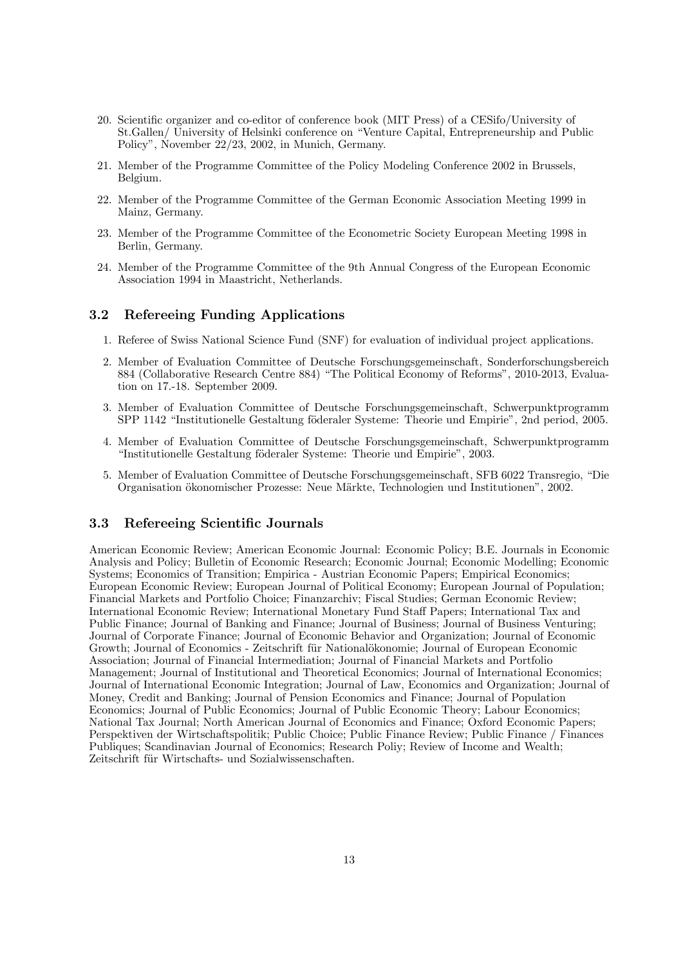- 20. Scientific organizer and co-editor of conference book (MIT Press) of a CESifo/University of St.Gallen/ University of Helsinki conference on "Venture Capital, Entrepreneurship and Public Policy", November 22/23, 2002, in Munich, Germany.
- 21. Member of the Programme Committee of the Policy Modeling Conference 2002 in Brussels, Belgium.
- 22. Member of the Programme Committee of the German Economic Association Meeting 1999 in Mainz, Germany.
- 23. Member of the Programme Committee of the Econometric Society European Meeting 1998 in Berlin, Germany.
- 24. Member of the Programme Committee of the 9th Annual Congress of the European Economic Association 1994 in Maastricht, Netherlands.

### 3.2 Refereeing Funding Applications

- 1. Referee of Swiss National Science Fund (SNF) for evaluation of individual project applications.
- 2. Member of Evaluation Committee of Deutsche Forschungsgemeinschaft, Sonderforschungsbereich 884 (Collaborative Research Centre 884) "The Political Economy of Reforms", 2010-2013, Evaluation on 17.-18. September 2009.
- 3. Member of Evaluation Committee of Deutsche Forschungsgemeinschaft, Schwerpunktprogramm SPP 1142 "Institutionelle Gestaltung föderaler Systeme: Theorie und Empirie", 2nd period, 2005.
- 4. Member of Evaluation Committee of Deutsche Forschungsgemeinschaft, Schwerpunktprogramm "Institutionelle Gestaltung föderaler Systeme: Theorie und Empirie", 2003.
- 5. Member of Evaluation Committee of Deutsche Forschungsgemeinschaft, SFB 6022 Transregio, "Die Organisation ökonomischer Prozesse: Neue Märkte, Technologien und Institutionen", 2002.

### 3.3 Refereeing Scientific Journals

American Economic Review; American Economic Journal: Economic Policy; B.E. Journals in Economic Analysis and Policy; Bulletin of Economic Research; Economic Journal; Economic Modelling; Economic Systems; Economics of Transition; Empirica - Austrian Economic Papers; Empirical Economics; European Economic Review; European Journal of Political Economy; European Journal of Population; Financial Markets and Portfolio Choice; Finanzarchiv; Fiscal Studies; German Economic Review; International Economic Review; International Monetary Fund Staff Papers; International Tax and Public Finance; Journal of Banking and Finance; Journal of Business; Journal of Business Venturing; Journal of Corporate Finance; Journal of Economic Behavior and Organization; Journal of Economic Growth; Journal of Economics - Zeitschrift für Nationalökonomie; Journal of European Economic Association; Journal of Financial Intermediation; Journal of Financial Markets and Portfolio Management; Journal of Institutional and Theoretical Economics; Journal of International Economics; Journal of International Economic Integration; Journal of Law, Economics and Organization; Journal of Money, Credit and Banking; Journal of Pension Economics and Finance; Journal of Population Economics; Journal of Public Economics; Journal of Public Economic Theory; Labour Economics; National Tax Journal; North American Journal of Economics and Finance; Oxford Economic Papers; Perspektiven der Wirtschaftspolitik; Public Choice; Public Finance Review; Public Finance / Finances Publiques; Scandinavian Journal of Economics; Research Poliy; Review of Income and Wealth; Zeitschrift für Wirtschafts- und Sozialwissenschaften.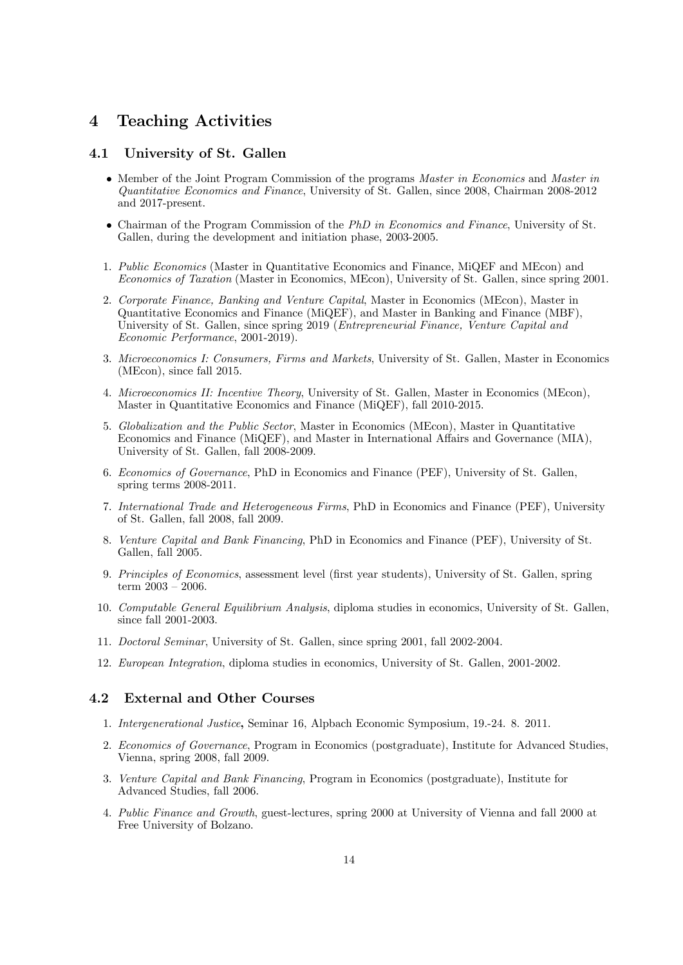# 4 Teaching Activities

### 4.1 University of St. Gallen

- Member of the Joint Program Commission of the programs *Master in Economics* and *Master in* Quantitative Economics and Finance, University of St. Gallen, since 2008, Chairman 2008-2012 and 2017-present.
- Chairman of the Program Commission of the PhD in Economics and Finance, University of St. Gallen, during the development and initiation phase, 2003-2005.
- 1. Public Economics (Master in Quantitative Economics and Finance, MiQEF and MEcon) and Economics of Taxation (Master in Economics, MEcon), University of St. Gallen, since spring 2001.
- 2. Corporate Finance, Banking and Venture Capital, Master in Economics (MEcon), Master in Quantitative Economics and Finance (MiQEF), and Master in Banking and Finance (MBF), University of St. Gallen, since spring 2019 (Entrepreneurial Finance, Venture Capital and Economic Performance, 2001-2019).
- 3. Microeconomics I: Consumers, Firms and Markets, University of St. Gallen, Master in Economics (MEcon), since fall 2015.
- 4. Microeconomics II: Incentive Theory, University of St. Gallen, Master in Economics (MEcon), Master in Quantitative Economics and Finance (MiQEF), fall 2010-2015.
- 5. Globalization and the Public Sector, Master in Economics (MEcon), Master in Quantitative Economics and Finance (MiQEF), and Master in International Affairs and Governance (MIA), University of St. Gallen, fall 2008-2009.
- 6. Economics of Governance, PhD in Economics and Finance (PEF), University of St. Gallen, spring terms 2008-2011.
- 7. International Trade and Heterogeneous Firms, PhD in Economics and Finance (PEF), University of St. Gallen, fall 2008, fall 2009.
- 8. Venture Capital and Bank Financing, PhD in Economics and Finance (PEF), University of St. Gallen, fall 2005.
- 9. Principles of Economics, assessment level (first year students), University of St. Gallen, spring term 2003 — 2006.
- 10. Computable General Equilibrium Analysis, diploma studies in economics, University of St. Gallen, since fall 2001-2003.
- 11. Doctoral Seminar, University of St. Gallen, since spring 2001, fall 2002-2004.
- 12. European Integration, diploma studies in economics, University of St. Gallen, 2001-2002.

### 4.2 External and Other Courses

- 1. Intergenerational Justice, Seminar 16, Alpbach Economic Symposium, 19.-24. 8. 2011.
- 2. Economics of Governance, Program in Economics (postgraduate), Institute for Advanced Studies, Vienna, spring 2008, fall 2009.
- 3. Venture Capital and Bank Financing, Program in Economics (postgraduate), Institute for Advanced Studies, fall 2006.
- 4. Public Finance and Growth, guest-lectures, spring 2000 at University of Vienna and fall 2000 at Free University of Bolzano.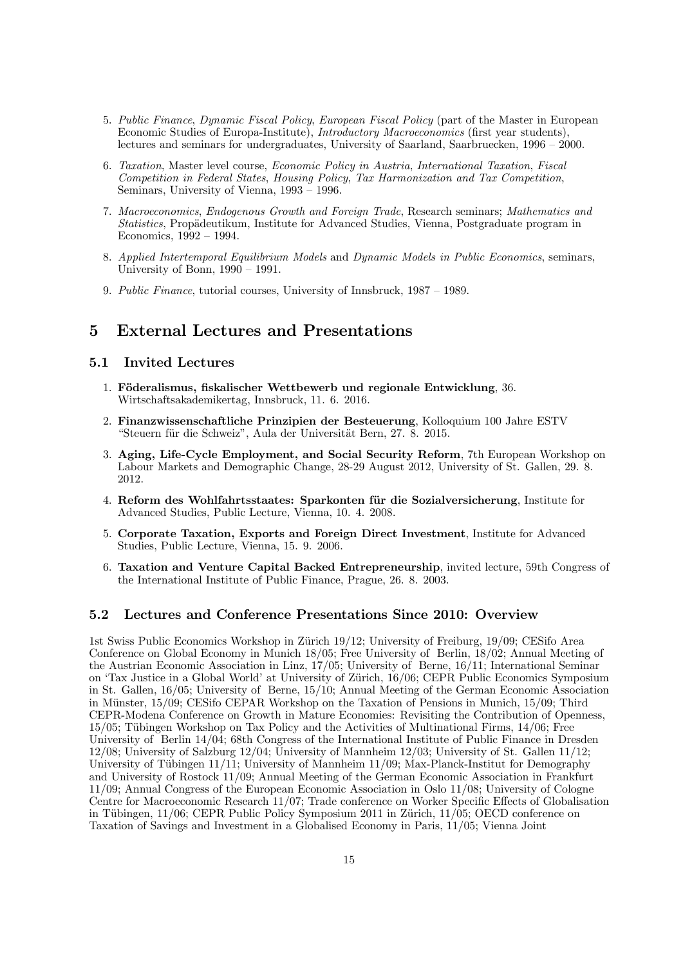- 5. Public Finance, Dynamic Fiscal Policy, European Fiscal Policy (part of the Master in European Economic Studies of Europa-Institute), Introductory Macroeconomics (first year students), lectures and seminars for undergraduates, University of Saarland, Saarbruecken, 1996 — 2000.
- 6. Taxation, Master level course, Economic Policy in Austria, International Taxation, Fiscal Competition in Federal States, Housing Policy, Tax Harmonization and Tax Competition, Seminars, University of Vienna, 1993 — 1996.
- 7. Macroeconomics, Endogenous Growth and Foreign Trade, Research seminars; Mathematics and Statistics, Propädeutikum, Institute for Advanced Studies, Vienna, Postgraduate program in Economics, 1992 — 1994.
- 8. Applied Intertemporal Equilibrium Models and Dynamic Models in Public Economics, seminars, University of Bonn, 1990 — 1991.
- 9. Public Finance, tutorial courses, University of Innsbruck, 1987 1989.

### 5 External Lectures and Presentations

### 5.1 Invited Lectures

- 1. Föderalismus, fiskalischer Wettbewerb und regionale Entwicklung, 36. Wirtschaftsakademikertag, Innsbruck, 11. 6. 2016.
- 2. Finanzwissenschaftliche Prinzipien der Besteuerung, Kolloquium 100 Jahre ESTV "Steuern für die Schweiz", Aula der Universität Bern, 27. 8. 2015.
- 3. Aging, Life-Cycle Employment, and Social Security Reform, 7th European Workshop on Labour Markets and Demographic Change, 28-29 August 2012, University of St. Gallen, 29. 8. 2012.
- 4. Reform des Wohlfahrtsstaates: Sparkonten für die Sozialversicherung, Institute for Advanced Studies, Public Lecture, Vienna, 10. 4. 2008.
- 5. Corporate Taxation, Exports and Foreign Direct Investment, Institute for Advanced Studies, Public Lecture, Vienna, 15. 9. 2006.
- 6. Taxation and Venture Capital Backed Entrepreneurship, invited lecture, 59th Congress of the International Institute of Public Finance, Prague, 26. 8. 2003.

### 5.2 Lectures and Conference Presentations Since 2010: Overview

1st Swiss Public Economics Workshop in Zürich 19/12; University of Freiburg, 19/09; CESifo Area Conference on Global Economy in Munich 18/05; Free University of Berlin, 18/02; Annual Meeting of the Austrian Economic Association in Linz, 17/05; University of Berne, 16/11; International Seminar on 'Tax Justice in a Global World' at University of Zürich,  $16/06$ ; CEPR Public Economics Symposium in St. Gallen, 16/05; University of Berne, 15/10; Annual Meeting of the German Economic Association in Münster,  $15/09$ ; CESifo CEPAR Workshop on the Taxation of Pensions in Munich,  $15/09$ ; Third CEPR-Modena Conference on Growth in Mature Economies: Revisiting the Contribution of Openness,  $15/05$ ; Tübingen Workshop on Tax Policy and the Activities of Multinational Firms,  $14/06$ ; Free University of Berlin 14/04; 68th Congress of the International Institute of Public Finance in Dresden 12/08; University of Salzburg 12/04; University of Mannheim 12/03; University of St. Gallen 11/12; University of Tübingen  $11/11$ ; University of Mannheim  $11/09$ ; Max-Planck-Institut for Demography and University of Rostock 11/09; Annual Meeting of the German Economic Association in Frankfurt 11/09; Annual Congress of the European Economic Association in Oslo 11/08; University of Cologne Centre for Macroeconomic Research 11/07; Trade conference on Worker Specific Effects of Globalisation in Tübingen,  $11/06$ ; CEPR Public Policy Symposium 2011 in Zürich,  $11/05$ ; OECD conference on Taxation of Savings and Investment in a Globalised Economy in Paris, 11/05; Vienna Joint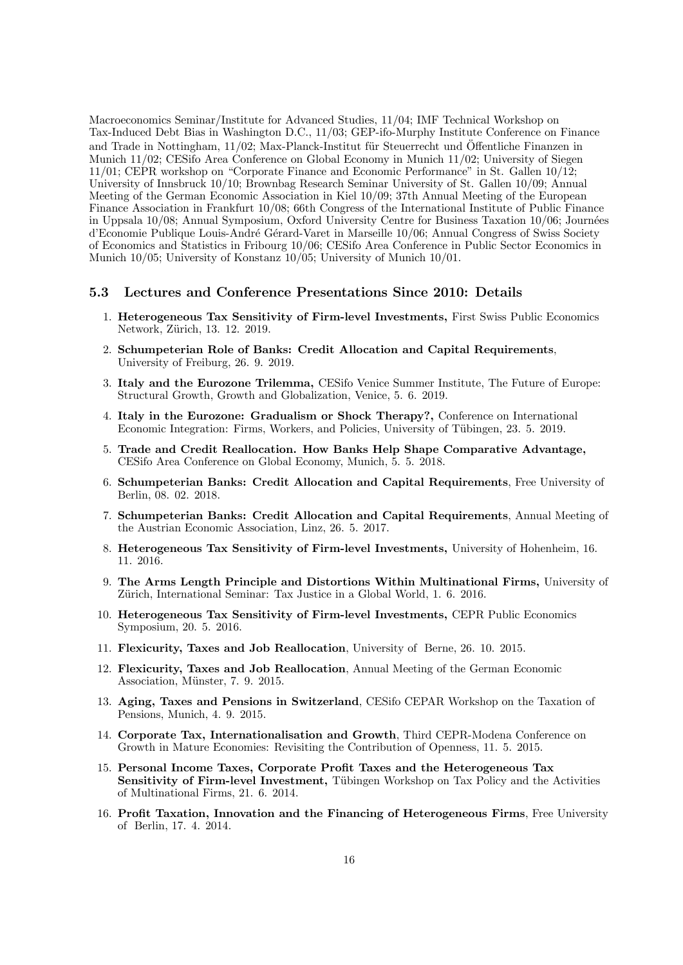Macroeconomics Seminar/Institute for Advanced Studies, 11/04; IMF Technical Workshop on Tax-Induced Debt Bias in Washington D.C., 11/03; GEP-ifo-Murphy Institute Conference on Finance and Trade in Nottingham,  $11/02$ ; Max-Planck-Institut für Steuerrecht und Öffentliche Finanzen in Munich 11/02; CESifo Area Conference on Global Economy in Munich 11/02; University of Siegen 11/01; CEPR workshop on "Corporate Finance and Economic Performance" in St. Gallen 10/12; University of Innsbruck 10/10; Brownbag Research Seminar University of St. Gallen 10/09; Annual Meeting of the German Economic Association in Kiel 10/09; 37th Annual Meeting of the European Finance Association in Frankfurt 10/08; 66th Congress of the International Institute of Public Finance in Uppsala  $10/08$ ; Annual Symposium, Oxford University Centre for Business Taxation  $10/06$ ; Journées d'Economie Publique Louis-André Gérard-Varet in Marseille 10/06; Annual Congress of Swiss Society of Economics and Statistics in Fribourg 10/06; CESifo Area Conference in Public Sector Economics in Munich 10/05; University of Konstanz 10/05; University of Munich 10/01.

#### 5.3 Lectures and Conference Presentations Since 2010: Details

- 1. Heterogeneous Tax Sensitivity of Firm-level Investments, First Swiss Public Economics Network, Zürich, 13. 12. 2019.
- 2. Schumpeterian Role of Banks: Credit Allocation and Capital Requirements, University of Freiburg, 26. 9. 2019.
- 3. Italy and the Eurozone Trilemma, CESifo Venice Summer Institute, The Future of Europe: Structural Growth, Growth and Globalization, Venice, 5. 6. 2019.
- 4. Italy in the Eurozone: Gradualism or Shock Therapy?, Conference on International Economic Integration: Firms, Workers, and Policies, University of Tübingen, 23. 5. 2019.
- 5. Trade and Credit Reallocation. How Banks Help Shape Comparative Advantage, CESifo Area Conference on Global Economy, Munich, 5. 5. 2018.
- 6. Schumpeterian Banks: Credit Allocation and Capital Requirements, Free University of Berlin, 08. 02. 2018.
- 7. Schumpeterian Banks: Credit Allocation and Capital Requirements, Annual Meeting of the Austrian Economic Association, Linz, 26. 5. 2017.
- 8. Heterogeneous Tax Sensitivity of Firm-level Investments, University of Hohenheim, 16. 11. 2016.
- 9. The Arms Length Principle and Distortions Within Multinational Firms, University of Zürich, International Seminar: Tax Justice in a Global World, 1. 6. 2016.
- 10. Heterogeneous Tax Sensitivity of Firm-level Investments, CEPR Public Economics Symposium, 20. 5. 2016.
- 11. Flexicurity, Taxes and Job Reallocation, University of Berne, 26. 10. 2015.
- 12. Flexicurity, Taxes and Job Reallocation, Annual Meeting of the German Economic Association, Münster, 7. 9. 2015.
- 13. Aging, Taxes and Pensions in Switzerland, CESifo CEPAR Workshop on the Taxation of Pensions, Munich, 4. 9. 2015.
- 14. Corporate Tax, Internationalisation and Growth, Third CEPR-Modena Conference on Growth in Mature Economies: Revisiting the Contribution of Openness, 11. 5. 2015.
- 15. Personal Income Taxes, Corporate Profit Taxes and the Heterogeneous Tax Sensitivity of Firm-level Investment, Tübingen Workshop on Tax Policy and the Activities of Multinational Firms, 21. 6. 2014.
- 16. Profit Taxation, Innovation and the Financing of Heterogeneous Firms, Free University of Berlin, 17. 4. 2014.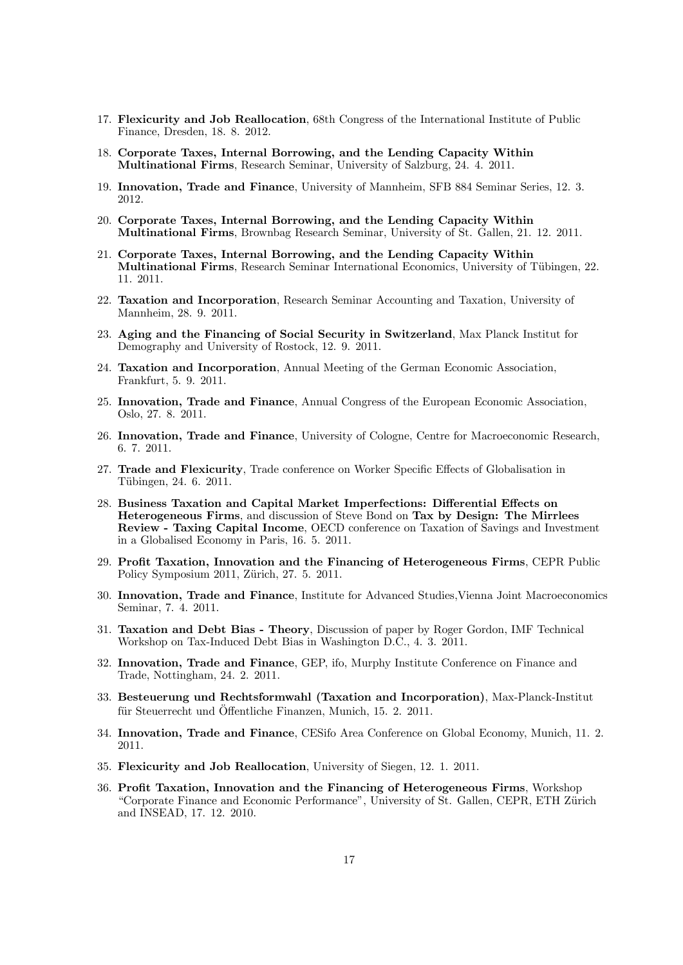- 17. Flexicurity and Job Reallocation, 68th Congress of the International Institute of Public Finance, Dresden, 18. 8. 2012.
- 18. Corporate Taxes, Internal Borrowing, and the Lending Capacity Within Multinational Firms, Research Seminar, University of Salzburg, 24. 4. 2011.
- 19. Innovation, Trade and Finance, University of Mannheim, SFB 884 Seminar Series, 12. 3. 2012.
- 20. Corporate Taxes, Internal Borrowing, and the Lending Capacity Within Multinational Firms, Brownbag Research Seminar, University of St. Gallen, 21. 12. 2011.
- 21. Corporate Taxes, Internal Borrowing, and the Lending Capacity Within Multinational Firms, Research Seminar International Economics, University of Tübingen, 22. 11. 2011.
- 22. Taxation and Incorporation, Research Seminar Accounting and Taxation, University of Mannheim, 28. 9. 2011.
- 23. Aging and the Financing of Social Security in Switzerland, Max Planck Institut for Demography and University of Rostock, 12. 9. 2011.
- 24. Taxation and Incorporation, Annual Meeting of the German Economic Association, Frankfurt, 5. 9. 2011.
- 25. Innovation, Trade and Finance, Annual Congress of the European Economic Association, Oslo, 27. 8. 2011.
- 26. Innovation, Trade and Finance, University of Cologne, Centre for Macroeconomic Research, 6. 7. 2011.
- 27. Trade and Flexicurity, Trade conference on Worker Specific Effects of Globalisation in Tübingen, 24. 6. 2011.
- 28. Business Taxation and Capital Market Imperfections: Differential Effects on Heterogeneous Firms, and discussion of Steve Bond on Tax by Design: The Mirrlees Review - Taxing Capital Income, OECD conference on Taxation of Savings and Investment in a Globalised Economy in Paris, 16. 5. 2011.
- 29. Profit Taxation, Innovation and the Financing of Heterogeneous Firms, CEPR Public Policy Symposium 2011, Zürich, 27. 5. 2011.
- 30. Innovation, Trade and Finance, Institute for Advanced Studies,Vienna Joint Macroeconomics Seminar, 7. 4. 2011.
- 31. Taxation and Debt Bias Theory, Discussion of paper by Roger Gordon, IMF Technical Workshop on Tax-Induced Debt Bias in Washington D.C., 4. 3. 2011.
- 32. Innovation, Trade and Finance, GEP, ifo, Murphy Institute Conference on Finance and Trade, Nottingham, 24. 2. 2011.
- 33. Besteuerung und Rechtsformwahl (Taxation and Incorporation), Max-Planck-Institut für Steuerrecht und Öffentliche Finanzen, Munich, 15. 2. 2011.
- 34. Innovation, Trade and Finance, CESifo Area Conference on Global Economy, Munich, 11. 2. 2011.
- 35. Flexicurity and Job Reallocation, University of Siegen, 12. 1. 2011.
- 36. Profit Taxation, Innovation and the Financing of Heterogeneous Firms, Workshop "Corporate Finance and Economic Performance", University of St. Gallen, CEPR, ETH Zürich and INSEAD, 17. 12. 2010.